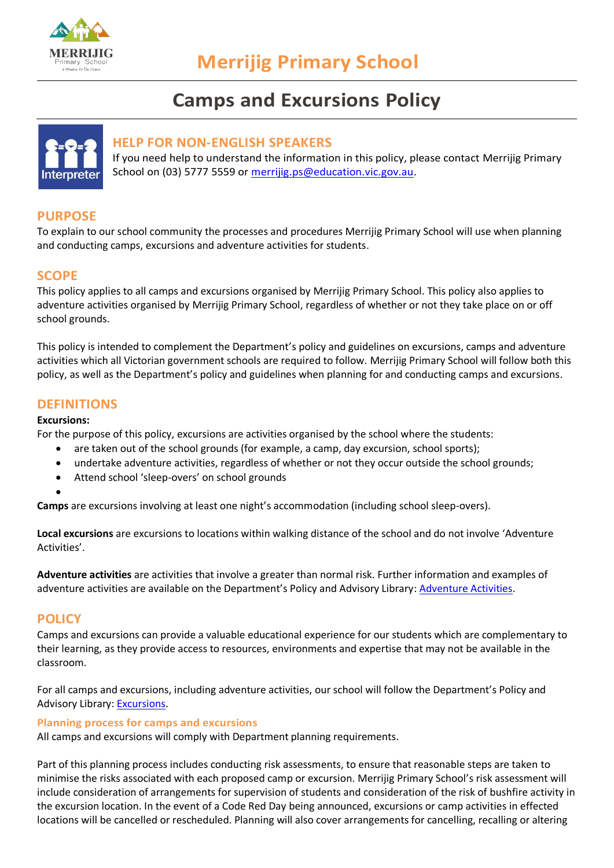

# **Camps and Excursions Policy**



## **HELP FOR NON-ENGLISH SPEAKERS**

If you need help to understand the information in this policy, please contact Merrijig Primary School on (03) 5777 5559 or [merrijig.ps@education.vic.gov.au.](mailto:merrijig.ps@education.vic.gov.au)

# **PURPOSE**

To explain to our school community the processes and procedures Merrijig Primary School will use when planning and conducting camps, excursions and adventure activities for students.

# **SCOPE**

This policy applies to all camps and excursions organised by Merrijig Primary School. This policy also applies to adventure activities organised by Merrijig Primary School, regardless of whether or not they take place on or off school grounds.

This policy is intended to complement the Department's policy and guidelines on excursions, camps and adventure activities which all Victorian government schools are required to follow. Merrijig Primary School will follow both this policy, as well as the Department's policy and guidelines when planning for and conducting camps and excursions.

## **DEFINITIONS**

#### **Excursions:**

For the purpose of this policy, excursions are activities organised by the school where the students:

- are taken out of the school grounds (for example, a camp, day excursion, school sports);
- undertake adventure activities, regardless of whether or not they occur outside the school grounds;
- Attend school 'sleep-overs' on school grounds
- •

**Camps** are excursions involving at least one night's accommodation (including school sleep-overs).

**Local excursions** are excursions to locations within walking distance of the school and do not involve 'Adventure Activities'.

**Adventure activities** are activities that involve a greater than normal risk. Further information and examples of adventure activities are available on the Department's Policy and Advisory Library[: Adventure Activities.](https://www2.education.vic.gov.au/pal/excursions/guidance/adventure-activities)

## **POLICY**

Camps and excursions can provide a valuable educational experience for our students which are complementary to their learning, as they provide access to resources, environments and expertise that may not be available in the classroom.

For all camps and excursions, including adventure activities, our school will follow the Department's Policy and Advisory Library: [Excursions.](https://www2.education.vic.gov.au/pal/excursions/policy)

#### **Planning process for camps and excursions**

All camps and excursions will comply with Department planning requirements.

Part of this planning process includes conducting risk assessments, to ensure that reasonable steps are taken to minimise the risks associated with each proposed camp or excursion. Merrijig Primary School's risk assessment will include consideration of arrangements for supervision of students and consideration of the risk of bushfire activity in the excursion location. In the event of a Code Red Day being announced, excursions or camp activities in effected locations will be cancelled or rescheduled. Planning will also cover arrangements for cancelling, recalling or altering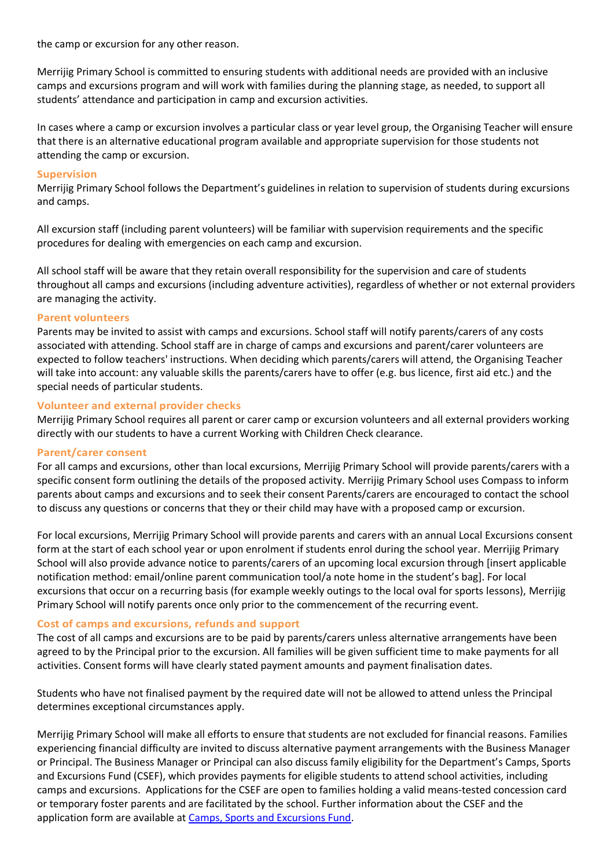the camp or excursion for any other reason.

Merrijig Primary School is committed to ensuring students with additional needs are provided with an inclusive camps and excursions program and will work with families during the planning stage, as needed, to support all students' attendance and participation in camp and excursion activities.

In cases where a camp or excursion involves a particular class or year level group, the Organising Teacher will ensure that there is an alternative educational program available and appropriate supervision for those students not attending the camp or excursion.

#### **Supervision**

Merrijig Primary School follows the Department's guidelines in relation to supervision of students during excursions and camps.

All excursion staff (including parent volunteers) will be familiar with supervision requirements and the specific procedures for dealing with emergencies on each camp and excursion.

All school staff will be aware that they retain overall responsibility for the supervision and care of students throughout all camps and excursions (including adventure activities), regardless of whether or not external providers are managing the activity.

#### **Parent volunteers**

Parents may be invited to assist with camps and excursions. School staff will notify parents/carers of any costs associated with attending. School staff are in charge of camps and excursions and parent/carer volunteers are expected to follow teachers' instructions. When deciding which parents/carers will attend, the Organising Teacher will take into account: any valuable skills the parents/carers have to offer (e.g. bus licence, first aid etc.) and the special needs of particular students.

#### **Volunteer and external provider checks**

Merrijig Primary School requires all parent or carer camp or excursion volunteers and all external providers working directly with our students to have a current Working with Children Check clearance.

#### **Parent/carer consent**

For all camps and excursions, other than local excursions, Merrijig Primary School will provide parents/carers with a specific consent form outlining the details of the proposed activity. Merrijig Primary School uses Compass to inform parents about camps and excursions and to seek their consent Parents/carers are encouraged to contact the school to discuss any questions or concerns that they or their child may have with a proposed camp or excursion.

For local excursions, Merrijig Primary School will provide parents and carers with an annual Local Excursions consent form at the start of each school year or upon enrolment if students enrol during the school year. Merrijig Primary School will also provide advance notice to parents/carers of an upcoming local excursion through [insert applicable notification method: email/online parent communication tool/a note home in the student's bag]. For local excursions that occur on a recurring basis (for example weekly outings to the local oval for sports lessons), Merrijig Primary School will notify parents once only prior to the commencement of the recurring event.

#### **Cost of camps and excursions, refunds and support**

The cost of all camps and excursions are to be paid by parents/carers unless alternative arrangements have been agreed to by the Principal prior to the excursion. All families will be given sufficient time to make payments for all activities. Consent forms will have clearly stated payment amounts and payment finalisation dates.

Students who have not finalised payment by the required date will not be allowed to attend unless the Principal determines exceptional circumstances apply.

Merrijig Primary School will make all efforts to ensure that students are not excluded for financial reasons. Families experiencing financial difficulty are invited to discuss alternative payment arrangements with the Business Manager or Principal. The Business Manager or Principal can also discuss family eligibility for the Department's Camps, Sports and Excursions Fund (CSEF), which provides payments for eligible students to attend school activities, including camps and excursions. Applications for the CSEF are open to families holding a valid means-tested concession card or temporary foster parents and are facilitated by the school. Further information about the CSEF and the application form are available at [Camps, Sports and Excursions Fund.](https://www2.education.vic.gov.au/pal/camps-sports-and-excursions-fund/policy)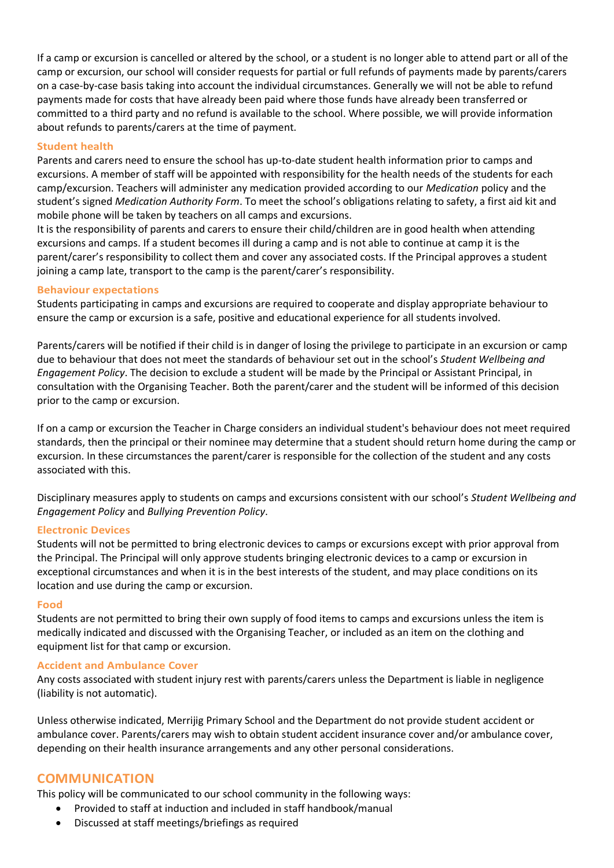If a camp or excursion is cancelled or altered by the school, or a student is no longer able to attend part or all of the camp or excursion, our school will consider requests for partial or full refunds of payments made by parents/carers on a case-by-case basis taking into account the individual circumstances. Generally we will not be able to refund payments made for costs that have already been paid where those funds have already been transferred or committed to a third party and no refund is available to the school. Where possible, we will provide information about refunds to parents/carers at the time of payment.

#### **Student health**

Parents and carers need to ensure the school has up-to-date student health information prior to camps and excursions. A member of staff will be appointed with responsibility for the health needs of the students for each camp/excursion. Teachers will administer any medication provided according to our *Medication* policy and the student's signed *Medication Authority Form*. To meet the school's obligations relating to safety, a first aid kit and mobile phone will be taken by teachers on all camps and excursions.

It is the responsibility of parents and carers to ensure their child/children are in good health when attending excursions and camps. If a student becomes ill during a camp and is not able to continue at camp it is the parent/carer's responsibility to collect them and cover any associated costs. If the Principal approves a student joining a camp late, transport to the camp is the parent/carer's responsibility.

#### **Behaviour expectations**

Students participating in camps and excursions are required to cooperate and display appropriate behaviour to ensure the camp or excursion is a safe, positive and educational experience for all students involved.

Parents/carers will be notified if their child is in danger of losing the privilege to participate in an excursion or camp due to behaviour that does not meet the standards of behaviour set out in the school's *Student Wellbeing and Engagement Policy*. The decision to exclude a student will be made by the Principal or Assistant Principal, in consultation with the Organising Teacher. Both the parent/carer and the student will be informed of this decision prior to the camp or excursion.

If on a camp or excursion the Teacher in Charge considers an individual student's behaviour does not meet required standards, then the principal or their nominee may determine that a student should return home during the camp or excursion. In these circumstances the parent/carer is responsible for the collection of the student and any costs associated with this.

Disciplinary measures apply to students on camps and excursions consistent with our school's *Student Wellbeing and Engagement Policy* and *Bullying Prevention Policy*.

## **Electronic Devices**

Students will not be permitted to bring electronic devices to camps or excursions except with prior approval from the Principal. The Principal will only approve students bringing electronic devices to a camp or excursion in exceptional circumstances and when it is in the best interests of the student, and may place conditions on its location and use during the camp or excursion.

#### **Food**

Students are not permitted to bring their own supply of food items to camps and excursions unless the item is medically indicated and discussed with the Organising Teacher, or included as an item on the clothing and equipment list for that camp or excursion.

#### **Accident and Ambulance Cover**

Any costs associated with student injury rest with parents/carers unless the Department is liable in negligence (liability is not automatic).

Unless otherwise indicated, Merrijig Primary School and the Department do not provide student accident or ambulance cover. Parents/carers may wish to obtain student accident insurance cover and/or ambulance cover, depending on their health insurance arrangements and any other personal considerations.

# **COMMUNICATION**

This policy will be communicated to our school community in the following ways:

- Provided to staff at induction and included in staff handbook/manual
- Discussed at staff meetings/briefings as required